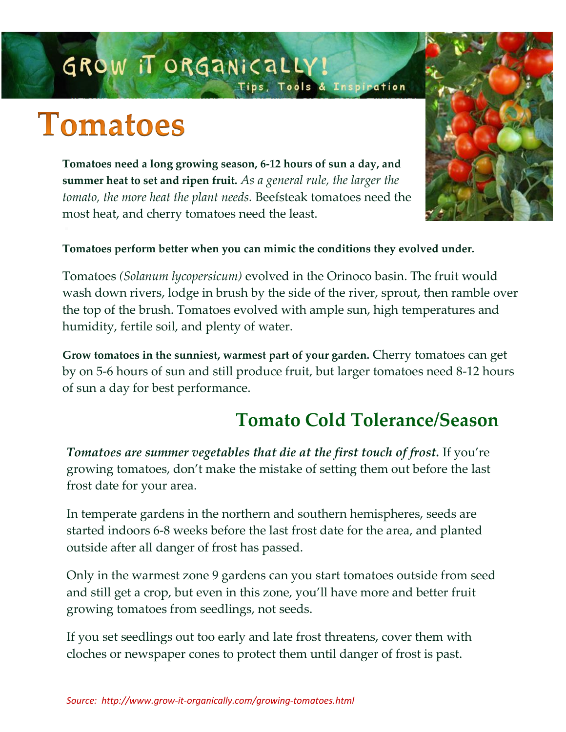## GROW IT ORGANICALLY! Tips, Tools & Inspiration

# **Tomatoes**

**Tomatoes need a long growing season, 6-12 hours of sun a day, and summer heat to set and ripen fruit.** *As a general rule, the larger the tomato, the more heat the plant needs.* Beefsteak tomatoes need the most heat, and cherry tomatoes need the least.



#### **Tomatoes perform better when you can mimic the conditions they evolved under.**

Tomatoes *(Solanum lycopersicum)* evolved in the Orinoco basin. The fruit would wash down rivers, lodge in brush by the side of the river, sprout, then ramble over the top of the brush. Tomatoes evolved with ample sun, high temperatures and humidity, fertile soil, and plenty of water.

**Grow tomatoes in the sunniest, warmest part of your garden.** Cherry tomatoes can get by on 5-6 hours of sun and still produce fruit, but larger tomatoes need 8-12 hours of sun a day for best performance.

## **Tomato Cold Tolerance/Season**

*Tomatoes are summer vegetables that die at the first touch of frost.* If you're growing tomatoes, don't make the mistake of setting them out before the last frost date for your area.

In temperate gardens in the northern and southern hemispheres, seeds are started indoors 6-8 weeks before the last frost date for the area, and planted outside after all danger of frost has passed.

Only in the warmest zone 9 gardens can you start tomatoes outside from seed and still get a crop, but even in this zone, you'll have more and better fruit growing tomatoes from seedlings, not seeds.

If you set seedlings out too early and late frost threatens, cover them with cloches or newspaper cones to protect them until danger of frost is past.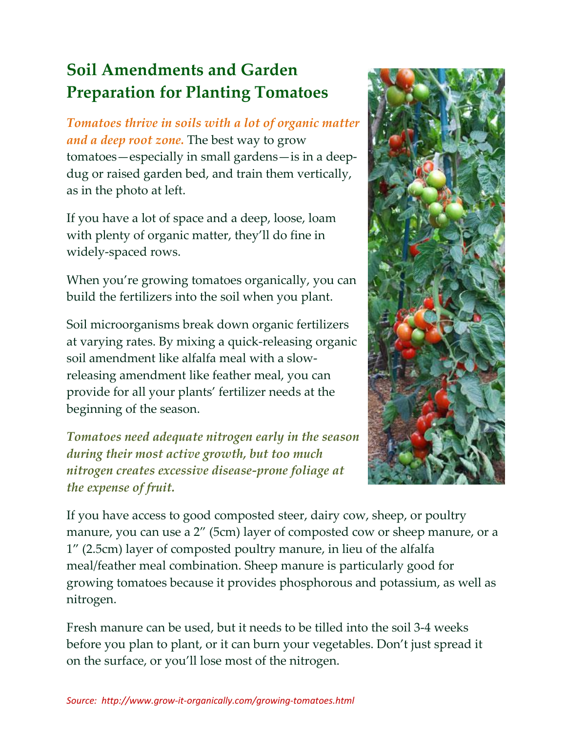## **Soil Amendments and Garden Preparation for Planting Tomatoes**

*Tomatoes thrive in soils with a lot of organic matter and a deep root zone.* The best way to grow tomatoes—especially in small gardens—is in a deepdug or raised garden bed, and train them vertically, as in the photo at left.

If you have a lot of space and a deep, loose, loam with plenty of organic matter, they'll do fine in widely-spaced rows.

When you're growing tomatoes organically, you can build the fertilizers into the soil when you plant.

Soil microorganisms break down organic fertilizers at varying rates. By mixing a quick-releasing organic soil amendment like alfalfa meal with a slowreleasing amendment like feather meal, you can provide for all your plants' fertilizer needs at the beginning of the season.

*Tomatoes need adequate nitrogen early in the season during their most active growth, but too much nitrogen creates excessive disease-prone foliage at the expense of fruit.*



If you have access to good composted steer, dairy cow, sheep, or poultry manure, you can use a 2" (5cm) layer of composted cow or sheep manure, or a 1" (2.5cm) layer of composted poultry manure, in lieu of the alfalfa meal/feather meal combination. Sheep manure is particularly good for growing tomatoes because it provides phosphorous and potassium, as well as nitrogen.

Fresh manure can be used, but it needs to be tilled into the soil 3-4 weeks before you plan to plant, or it can burn your vegetables. Don't just spread it on the surface, or you'll lose most of the nitrogen.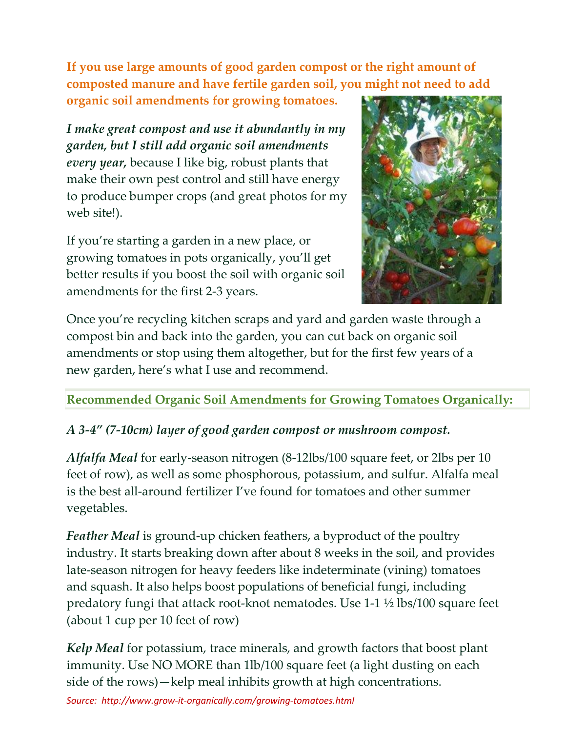**If you use large amounts of good garden compost or the right amount of composted manure and have fertile garden soil, you might not need to add** 

**organic soil amendments for growing tomatoes.**

*I make great compost and use it abundantly in my garden, but I still add organic soil amendments every year,* because I like big, robust plants that make their own pest control and still have energy to produce bumper crops (and great photos for my web site!).

If you're starting a garden in a new place, or growing tomatoes in pots organically, you'll get better results if you boost the soil with organic soil amendments for the first 2-3 years.



Once you're recycling kitchen scraps and yard and garden waste through a compost bin and back into the garden, you can cut back on organic soil amendments or stop using them altogether, but for the first few years of a new garden, here's what I use and recommend.

**Recommended Organic Soil Amendments for Growing Tomatoes Organically:**

#### *A 3-4" (7-10cm) layer of good garden compost or mushroom compost.*

*Alfalfa Meal* for early-season nitrogen (8-12lbs/100 square feet, or 2lbs per 10 feet of row), as well as some phosphorous, potassium, and sulfur. Alfalfa meal is the best all-around fertilizer I've found for tomatoes and other summer vegetables.

*Feather Meal* is ground-up chicken feathers, a byproduct of the poultry industry. It starts breaking down after about 8 weeks in the soil, and provides late-season nitrogen for heavy feeders like indeterminate (vining) tomatoes and squash. It also helps boost populations of beneficial fungi, including predatory fungi that attack root-knot nematodes. Use 1-1 ½ lbs/100 square feet (about 1 cup per 10 feet of row)

*Kelp Meal* for potassium, trace minerals, and growth factors that boost plant immunity. Use NO MORE than 1lb/100 square feet (a light dusting on each side of the rows)—kelp meal inhibits growth at high concentrations.

```
Source: http://www.grow-it-organically.com/growing-tomatoes.html
```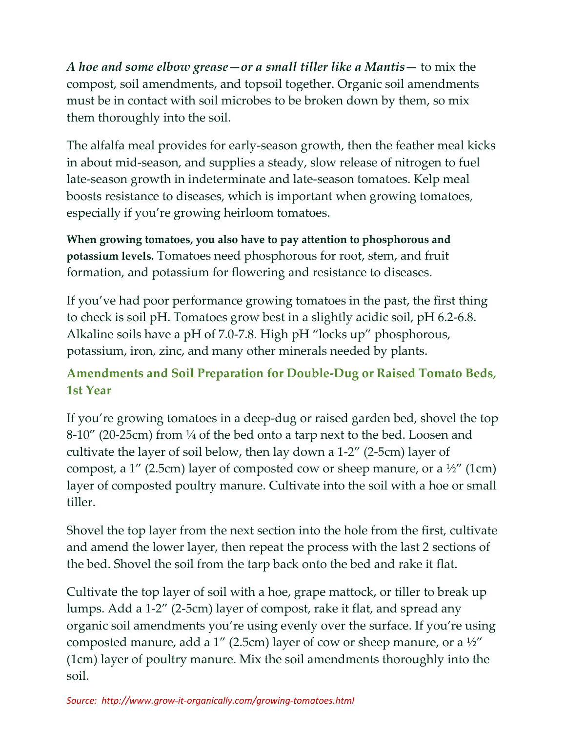*A hoe and some elbow grease—or a small tiller like a Mantis—* to mix the compost, soil amendments, and topsoil together. Organic soil amendments must be in contact with soil microbes to be broken down by them, so mix them thoroughly into the soil.

The alfalfa meal provides for early-season growth, then the feather meal kicks in about mid-season, and supplies a steady, slow release of nitrogen to fuel late-season growth in indeterminate and late-season tomatoes. Kelp meal boosts resistance to diseases, which is important when growing tomatoes, especially if you're growing heirloom tomatoes.

**When growing tomatoes, you also have to pay attention to phosphorous and potassium levels.** Tomatoes need phosphorous for root, stem, and fruit formation, and potassium for flowering and resistance to diseases.

If you've had poor performance growing tomatoes in the past, the first thing to check is soil pH. Tomatoes grow best in a slightly acidic soil, pH 6.2-6.8. Alkaline soils have a pH of 7.0-7.8. High pH "locks up" phosphorous, potassium, iron, zinc, and many other minerals needed by plants.

#### **Amendments and Soil Preparation for Double-Dug or Raised Tomato Beds, 1st Year**

If you're growing tomatoes in a deep-dug or raised garden bed, shovel the top  $8-10''$  (20-25cm) from  $\frac{1}{4}$  of the bed onto a tarp next to the bed. Loosen and cultivate the layer of soil below, then lay down a 1-2" (2-5cm) layer of compost, a 1" (2.5cm) layer of composted cow or sheep manure, or a  $\frac{1}{2}$ " (1cm) layer of composted poultry manure. Cultivate into the soil with a hoe or small tiller.

Shovel the top layer from the next section into the hole from the first, cultivate and amend the lower layer, then repeat the process with the last 2 sections of the bed. Shovel the soil from the tarp back onto the bed and rake it flat.

Cultivate the top layer of soil with a hoe, grape mattock, or tiller to break up lumps. Add a 1-2" (2-5cm) layer of compost, rake it flat, and spread any organic soil amendments you're using evenly over the surface. If you're using composted manure, add a 1" (2.5cm) layer of cow or sheep manure, or a  $\frac{1}{2}$ " (1cm) layer of poultry manure. Mix the soil amendments thoroughly into the soil.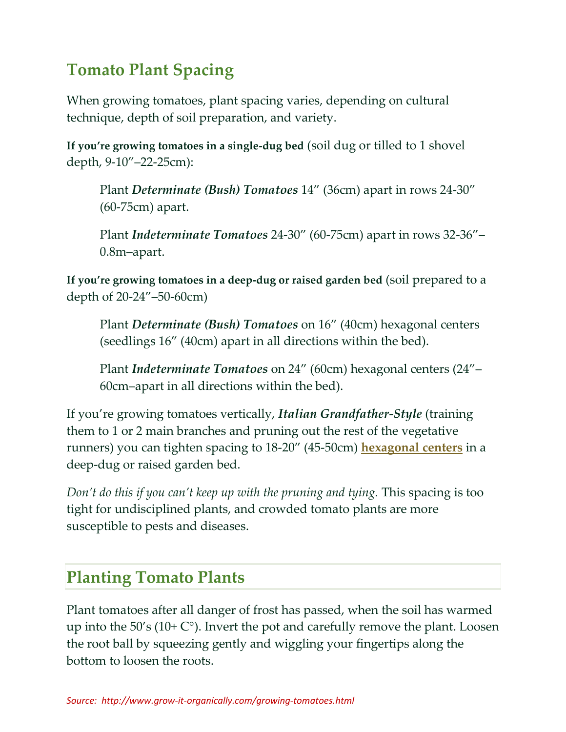## **Tomato Plant Spacing**

When growing tomatoes, plant spacing varies, depending on cultural technique, depth of soil preparation, and variety.

**If you're growing tomatoes in a single-dug bed** (soil dug or tilled to 1 shovel depth, 9-10"–22-25cm):

Plant *Determinate (Bush) Tomatoes* 14" (36cm) apart in rows 24-30" (60-75cm) apart.

Plant *Indeterminate Tomatoes* 24-30" (60-75cm) apart in rows 32-36"– 0.8m–apart.

**If you're growing tomatoes in a deep-dug or raised garden bed** (soil prepared to a depth of 20-24"–50-60cm)

Plant *Determinate (Bush) Tomatoes* on 16" (40cm) hexagonal centers (seedlings 16" (40cm) apart in all directions within the bed).

Plant *Indeterminate Tomatoes* on 24" (60cm) hexagonal centers (24"– 60cm–apart in all directions within the bed).

If you're growing tomatoes vertically, *Italian Grandfather-Style* (training them to 1 or 2 main branches and pruning out the rest of the vegetative runners) you can tighten spacing to 18-20" (45-50cm) **[hexagonal centers](http://www.grow-it-organically.com/vegetable-garden-planting.html#raisedbed)** in a deep-dug or raised garden bed.

*Don't do this if you can't keep up with the pruning and tying.* This spacing is too tight for undisciplined plants, and crowded tomato plants are more susceptible to pests and diseases.

## **Planting Tomato Plants**

Plant tomatoes after all danger of frost has passed, when the soil has warmed up into the 50's (10+ C°). Invert the pot and carefully remove the plant. Loosen the root ball by squeezing gently and wiggling your fingertips along the bottom to loosen the roots.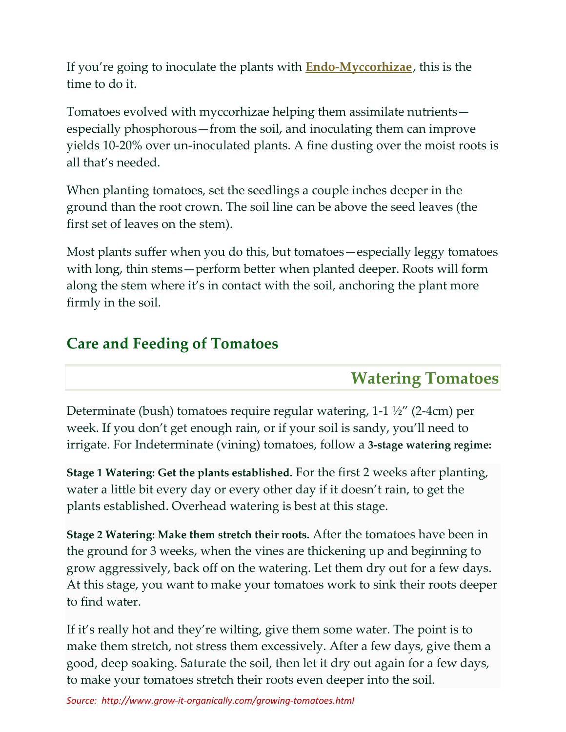If you're going to inoculate the plants with **[Endo-Myccorhizae](http://www.amazon.com/gp/redirect.html?ie=UTF8&location=http%3A%2F%2Fwww.amazon.com%2Fgp%2Fregistry%2Fwishlist%2F2ZVVBBQXDRS7I&tag=growitorganic-20&linkCode=ur2&camp=1789&creative=390957)**, this is the time to do it.

Tomatoes evolved with myccorhizae helping them assimilate nutrients especially phosphorous—from the soil, and inoculating them can improve yields 10-20% over un-inoculated plants. A fine dusting over the moist roots is all that's needed.

When planting tomatoes, set the seedlings a couple inches deeper in the ground than the root crown. The soil line can be above the seed leaves (the first set of leaves on the stem).

Most plants suffer when you do this, but tomatoes—especially leggy tomatoes with long, thin stems—perform better when planted deeper. Roots will form along the stem where it's in contact with the soil, anchoring the plant more firmly in the soil.

#### **Care and Feeding of Tomatoes**

#### **Watering Tomatoes**

Determinate (bush) tomatoes require regular watering, 1-1 ½" (2-4cm) per week. If you don't get enough rain, or if your soil is sandy, you'll need to irrigate. For Indeterminate (vining) tomatoes, follow a **3-stage watering regime:**

**Stage 1 Watering: Get the plants established.** For the first 2 weeks after planting, water a little bit every day or every other day if it doesn't rain, to get the plants established. Overhead watering is best at this stage.

**Stage 2 Watering: Make them stretch their roots.** After the tomatoes have been in the ground for 3 weeks, when the vines are thickening up and beginning to grow aggressively, back off on the watering. Let them dry out for a few days. At this stage, you want to make your tomatoes work to sink their roots deeper to find water.

If it's really hot and they're wilting, give them some water. The point is to make them stretch, not stress them excessively. After a few days, give them a good, deep soaking. Saturate the soil, then let it dry out again for a few days, to make your tomatoes stretch their roots even deeper into the soil.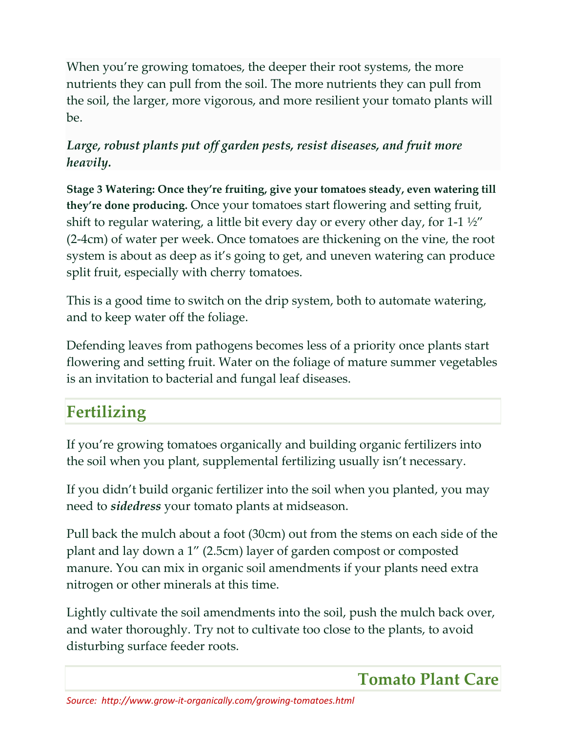When you're growing tomatoes, the deeper their root systems, the more nutrients they can pull from the soil. The more nutrients they can pull from the soil, the larger, more vigorous, and more resilient your tomato plants will be.

#### *Large, robust plants put off garden pests, resist diseases, and fruit more heavily.*

**Stage 3 Watering: Once they're fruiting, give your tomatoes steady, even watering till they're done producing.** Once your tomatoes start flowering and setting fruit, shift to regular watering, a little bit every day or every other day, for 1-1  $\frac{1}{2}$ (2-4cm) of water per week. Once tomatoes are thickening on the vine, the root system is about as deep as it's going to get, and uneven watering can produce split fruit, especially with cherry tomatoes.

This is a good time to switch on the drip system, both to automate watering, and to keep water off the foliage.

Defending leaves from pathogens becomes less of a priority once plants start flowering and setting fruit. Water on the foliage of mature summer vegetables is an invitation to bacterial and fungal leaf diseases.

## **Fertilizing**

If you're growing tomatoes organically and building organic fertilizers into the soil when you plant, supplemental fertilizing usually isn't necessary.

If you didn't build organic fertilizer into the soil when you planted, you may need to *sidedress* your tomato plants at midseason.

Pull back the mulch about a foot (30cm) out from the stems on each side of the plant and lay down a 1" (2.5cm) layer of garden compost or composted manure. You can mix in organic soil amendments if your plants need extra nitrogen or other minerals at this time.

Lightly cultivate the soil amendments into the soil, push the mulch back over, and water thoroughly. Try not to cultivate too close to the plants, to avoid disturbing surface feeder roots.

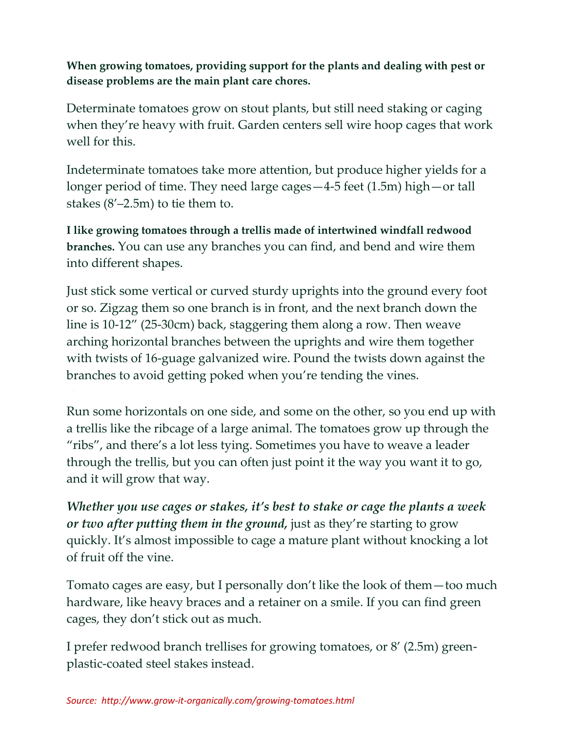**When growing tomatoes, providing support for the plants and dealing with pest or disease problems are the main plant care chores.**

Determinate tomatoes grow on stout plants, but still need staking or caging when they're heavy with fruit. Garden centers sell wire hoop cages that work well for this.

Indeterminate tomatoes take more attention, but produce higher yields for a longer period of time. They need large cages—4-5 feet (1.5m) high—or tall stakes (8'–2.5m) to tie them to.

**I like growing tomatoes through a trellis made of intertwined windfall redwood branches.** You can use any branches you can find, and bend and wire them into different shapes.

Just stick some vertical or curved sturdy uprights into the ground every foot or so. Zigzag them so one branch is in front, and the next branch down the line is 10-12" (25-30cm) back, staggering them along a row. Then weave arching horizontal branches between the uprights and wire them together with twists of 16-guage galvanized wire. Pound the twists down against the branches to avoid getting poked when you're tending the vines.

Run some horizontals on one side, and some on the other, so you end up with a trellis like the ribcage of a large animal. The tomatoes grow up through the "ribs", and there's a lot less tying. Sometimes you have to weave a leader through the trellis, but you can often just point it the way you want it to go, and it will grow that way.

*Whether you use cages or stakes, it's best to stake or cage the plants a week or two after putting them in the ground,* just as they're starting to grow quickly. It's almost impossible to cage a mature plant without knocking a lot of fruit off the vine.

Tomato cages are easy, but I personally don't like the look of them—too much hardware, like heavy braces and a retainer on a smile. If you can find green cages, they don't stick out as much.

I prefer redwood branch trellises for growing tomatoes, or 8' (2.5m) greenplastic-coated steel stakes instead.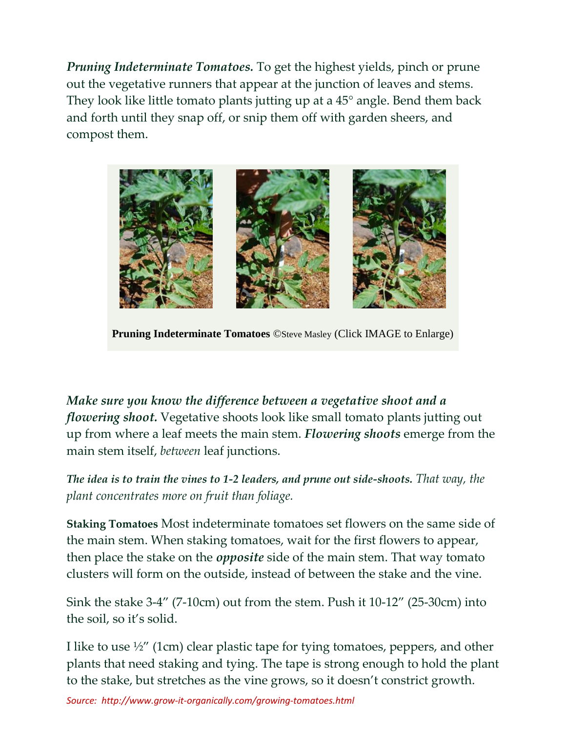*Pruning Indeterminate Tomatoes.* To get the highest yields, pinch or prune out the vegetative runners that appear at the junction of leaves and stems. They look like little tomato plants jutting up at a 45° angle. Bend them back and forth until they snap off, or snip them off with garden sheers, and compost them.



**Pruning Indeterminate Tomatoes** ©Steve Masley (Click IMAGE to Enlarge)

*Make sure you know the difference between a vegetative shoot and a flowering shoot.* Vegetative shoots look like small tomato plants jutting out up from where a leaf meets the main stem. *Flowering shoots* emerge from the main stem itself, *between* leaf junctions.

*The idea is to train the vines to 1-2 leaders, and prune out side-shoots. That way, the plant concentrates more on fruit than foliage.*

**Staking Tomatoes** Most indeterminate tomatoes set flowers on the same side of the main stem. When staking tomatoes, wait for the first flowers to appear, then place the stake on the *opposite* side of the main stem. That way tomato clusters will form on the outside, instead of between the stake and the vine.

Sink the stake 3-4" (7-10cm) out from the stem. Push it 10-12" (25-30cm) into the soil, so it's solid.

I like to use ½" (1cm) clear plastic tape for tying tomatoes, peppers, and other plants that need staking and tying. The tape is strong enough to hold the plant to the stake, but stretches as the vine grows, so it doesn't constrict growth.